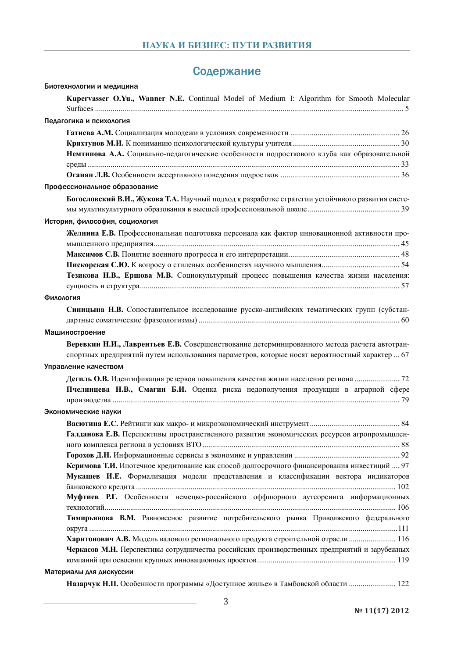## Содержание

| Биотехнологии и медицина                                                                         |
|--------------------------------------------------------------------------------------------------|
| Kupervasser O.Yu., Wanner N.E. Continual Model of Medium I: Algorithm for Smooth Molecular       |
| Педагогика и психология                                                                          |
|                                                                                                  |
|                                                                                                  |
| Немтинова А.А. Социально-педагогические особенности подросткового клуба как образовательной      |
|                                                                                                  |
|                                                                                                  |
| Профессиональное образование                                                                     |
| Богословский В.И., Жукова Т.А. Научный подход к разработке стратегии устойчивого развития систе- |
|                                                                                                  |
| История, философия, социология                                                                   |
| Желнина Е.В. Профессиональная подготовка персонала как фактор инновационной активности про-      |
|                                                                                                  |
|                                                                                                  |
|                                                                                                  |
| Тезикова Н.В., Ершова М.В. Социокультурный процесс повышения качества жизни населения:           |
|                                                                                                  |
| Филология                                                                                        |
| Синицына Н.В. Сопоставительное исследование русско-английских тематических групп (субстан-       |
|                                                                                                  |
| Машиностроение                                                                                   |
| Веревкин Н.И., Лаврентьев Е.В. Совершенствование детерминированного метода расчета автотран-     |
| спортных предприятий путем использования параметров, которые носят вероятностный характер  67    |
| Управление качеством                                                                             |
| Дегиль О.В. Идентификация резервов повышения качества жизни населения региона  72                |
| Пчелинцева Н.В., Смагин Б.И. Оценка риска недополучения продукции в аграрной сфере               |
|                                                                                                  |
| Экономические науки                                                                              |
|                                                                                                  |
|                                                                                                  |
| Галданова Е.В. Перспективы пространственного развития экономических ресурсов агропромышлен-      |
|                                                                                                  |
| Керимова Т.И. Ипотечное кредитование как способ долгосрочного финансирования инвестиций  97      |
| Мукашев И.Е. Формализация модели представления и классификации вектора индикаторов               |
|                                                                                                  |
| Муфтиев Р.Г. Особенности немецко-российского оффшорного аутсорсинга информационных               |
|                                                                                                  |
| Тимирьянова В.М. Равновесное развитие потребительского рынка Приволжского федерального           |
|                                                                                                  |
| Харитонович А.В. Модель валового регионального продукта строительной отрасли  116                |
| Черкасов М.Н. Перспективы сотрудничества российских производственных предприятий и зарубежных    |
|                                                                                                  |
| Материалы для дискуссии                                                                          |
|                                                                                                  |

Назарчук Н.П. Особенности программы «Доступное жилье» в Тамбовской области ......................... 122